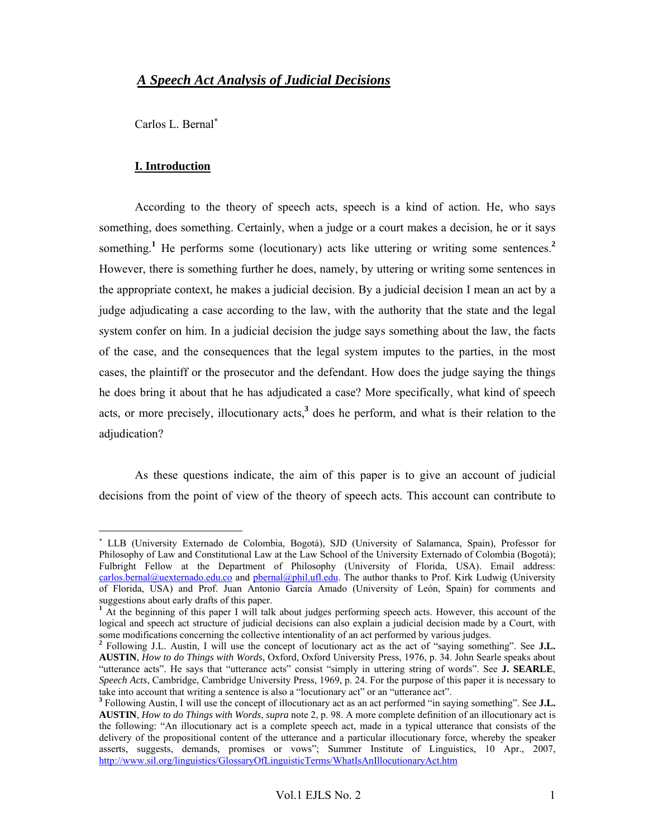## *A Speech Act Analysis of Judicial Decisions*

Carlos L. Bernal<sup>∗</sup>

#### **I. Introduction**

 $\overline{a}$ 

According to the theory of speech acts, speech is a kind of action. He, who says something, does something. Certainly, when a judge or a court makes a decision, he or it says something.<sup>1</sup> He performs some (locutionary) acts like uttering or writing some sentences.<sup>2</sup> However, there is something further he does, namely, by uttering or writing some sentences in the appropriate context, he makes a judicial decision. By a judicial decision I mean an act by a judge adjudicating a case according to the law, with the authority that the state and the legal system confer on him. In a judicial decision the judge says something about the law, the facts of the case, and the consequences that the legal system imputes to the parties, in the most cases, the plaintiff or the prosecutor and the defendant. How does the judge saying the things he does bring it about that he has adjudicated a case? More specifically, what kind of speech acts, or more precisely, illocutionary acts,**<sup>3</sup>** does he perform, and what is their relation to the adjudication?

 As these questions indicate, the aim of this paper is to give an account of judicial decisions from the point of view of the theory of speech acts. This account can contribute to

<sup>∗</sup> LLB (University Externado de Colombia, Bogotá), SJD (University of Salamanca, Spain), Professor for Philosophy of Law and Constitutional Law at the Law School of the University Externado of Colombia (Bogotá); Fulbright Fellow at the Department of Philosophy (University of Florida, USA). Email address: carlos.bernal@uexternado.edu.co and pbernal@phil.ufl.edu. The author thanks to Prof. Kirk Ludwig (University of Florida, USA) and Prof. Juan Antonio García Amado (University of León, Spain) for comments and suggestions about early drafts of this paper. **1** At the beginning of this paper I will talk about judges performing speech acts. However, this account of the

logical and speech act structure of judicial decisions can also explain a judicial decision made by a Court, with some modifications concerning the collective intentionality of an act performed by various judges.

**<sup>2</sup>** Following J.L. Austin, I will use the concept of locutionary act as the act of "saying something". See **J.L. AUSTIN**, *How to do Things with Words*, Oxford, Oxford University Press, 1976, p. 34. John Searle speaks about "utterance acts". He says that "utterance acts" consist "simply in uttering string of words". See **J. SEARLE**, *Speech Acts*, Cambridge, Cambridge University Press, 1969, p. 24. For the purpose of this paper it is necessary to take into account that writing a sentence is also a "locutionary act" or an "utterance act".

**<sup>3</sup>** Following Austin, I will use the concept of illocutionary act as an act performed "in saying something". See **J.L. AUSTIN**, *How to do Things with Words*, *supra* note 2, p. 98. A more complete definition of an illocutionary act is the following: "An illocutionary act is a complete speech act, made in a typical utterance that consists of the delivery of the propositional content of the utterance and a particular illocutionary force, whereby the speaker asserts, suggests, demands, promises or vows"; Summer Institute of Linguistics, 10 Apr., 2007, http://www.sil.org/linguistics/GlossaryOfLinguisticTerms/WhatIsAnIllocutionaryAct.htm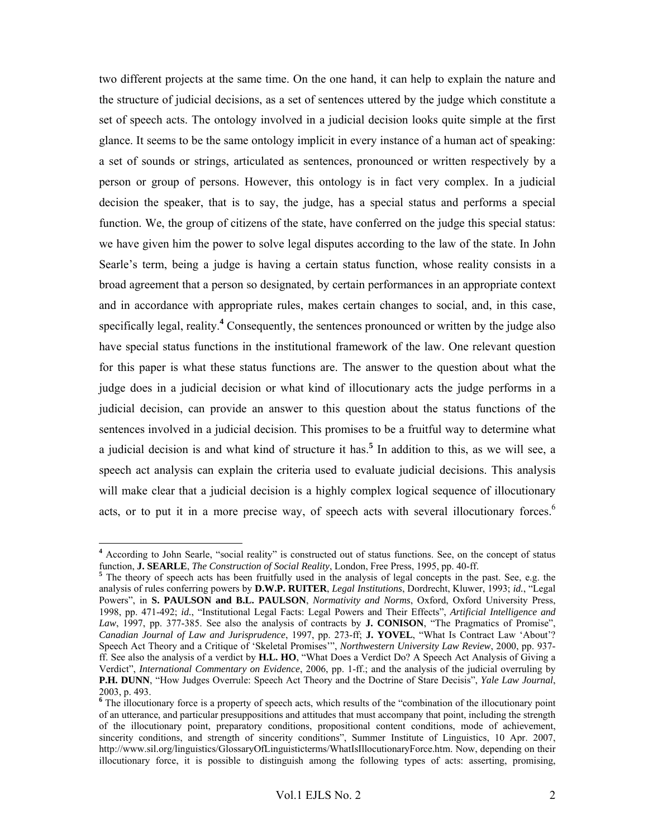two different projects at the same time. On the one hand, it can help to explain the nature and the structure of judicial decisions, as a set of sentences uttered by the judge which constitute a set of speech acts. The ontology involved in a judicial decision looks quite simple at the first glance. It seems to be the same ontology implicit in every instance of a human act of speaking: a set of sounds or strings, articulated as sentences, pronounced or written respectively by a person or group of persons. However, this ontology is in fact very complex. In a judicial decision the speaker, that is to say, the judge, has a special status and performs a special function. We, the group of citizens of the state, have conferred on the judge this special status: we have given him the power to solve legal disputes according to the law of the state. In John Searle's term, being a judge is having a certain status function, whose reality consists in a broad agreement that a person so designated, by certain performances in an appropriate context and in accordance with appropriate rules, makes certain changes to social, and, in this case, specifically legal, reality.**<sup>4</sup>** Consequently, the sentences pronounced or written by the judge also have special status functions in the institutional framework of the law. One relevant question for this paper is what these status functions are. The answer to the question about what the judge does in a judicial decision or what kind of illocutionary acts the judge performs in a judicial decision, can provide an answer to this question about the status functions of the sentences involved in a judicial decision. This promises to be a fruitful way to determine what a judicial decision is and what kind of structure it has.**<sup>5</sup>** In addition to this, as we will see, a speech act analysis can explain the criteria used to evaluate judicial decisions. This analysis will make clear that a judicial decision is a highly complex logical sequence of illocutionary acts, or to put it in a more precise way, of speech acts with several illocutionary forces.<sup>6</sup>

<sup>&</sup>lt;sup>4</sup> According to John Searle, "social reality" is constructed out of status functions. See, on the concept of status function, **J. SEARLE**, *The Construction of Social Reality*, London, Free Press, 1995, pp. 40-ff. **<sup>5</sup>**

 $5$  The theory of speech acts has been fruitfully used in the analysis of legal concepts in the past. See, e.g. the analysis of rules conferring powers by **D.W.P. RUITER**, *Legal Institutions*, Dordrecht, Kluwer, 1993; *id.*, "Legal Powers", in **S. PAULSON and B.L. PAULSON**, *Normativity and Norms*, Oxford, Oxford University Press, 1998, pp. 471-492; *id.*, "Institutional Legal Facts: Legal Powers and Their Effects", *Artificial Intelligence and Law*, 1997, pp. 377-385. See also the analysis of contracts by **J. CONISON**, "The Pragmatics of Promise", *Canadian Journal of Law and Jurisprudence*, 1997, pp. 273-ff; **J. YOVEL**, "What Is Contract Law 'About'? Speech Act Theory and a Critique of 'Skeletal Promises'", *Northwestern University Law Review*, 2000, pp. 937 ff. See also the analysis of a verdict by **H.L. HO**, "What Does a Verdict Do? A Speech Act Analysis of Giving a Verdict", *International Commentary on Evidence*, 2006, pp. 1-ff.; and the analysis of the judicial overruling by **P.H. DUNN**, "How Judges Overrule: Speech Act Theory and the Doctrine of Stare Decisis", *Yale Law Journal*, 2003, p. 493.

<sup>&</sup>lt;sup>6</sup> The illocutionary force is a property of speech acts, which results of the "combination of the illocutionary point of an utterance, and particular presuppositions and attitudes that must accompany that point, including the strength of the illocutionary point, preparatory conditions, propositional content conditions, mode of achievement, sincerity conditions, and strength of sincerity conditions", Summer Institute of Linguistics, 10 Apr. 2007, http://www.sil.org/linguistics/GlossaryOfLinguisticterms/WhatIsIllocutionaryForce.htm. Now, depending on their illocutionary force, it is possible to distinguish among the following types of acts: asserting, promising,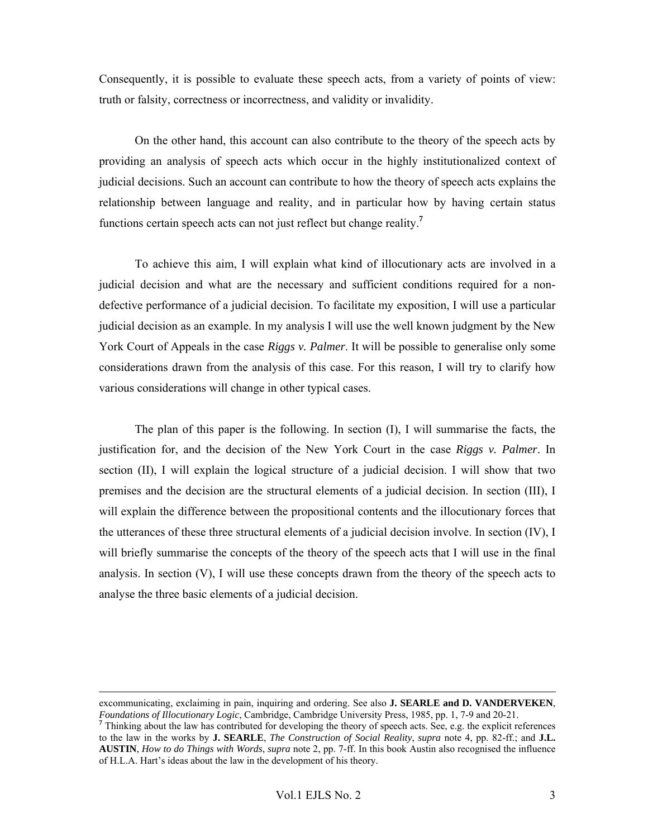Consequently, it is possible to evaluate these speech acts, from a variety of points of view: truth or falsity, correctness or incorrectness, and validity or invalidity.

On the other hand, this account can also contribute to the theory of the speech acts by providing an analysis of speech acts which occur in the highly institutionalized context of judicial decisions. Such an account can contribute to how the theory of speech acts explains the relationship between language and reality, and in particular how by having certain status functions certain speech acts can not just reflect but change reality.**<sup>7</sup>**

To achieve this aim, I will explain what kind of illocutionary acts are involved in a judicial decision and what are the necessary and sufficient conditions required for a nondefective performance of a judicial decision. To facilitate my exposition, I will use a particular judicial decision as an example. In my analysis I will use the well known judgment by the New York Court of Appeals in the case *Riggs v. Palmer*. It will be possible to generalise only some considerations drawn from the analysis of this case. For this reason, I will try to clarify how various considerations will change in other typical cases.

The plan of this paper is the following. In section (I), I will summarise the facts, the justification for, and the decision of the New York Court in the case *Riggs v. Palmer*. In section (II), I will explain the logical structure of a judicial decision. I will show that two premises and the decision are the structural elements of a judicial decision. In section (III), I will explain the difference between the propositional contents and the illocutionary forces that the utterances of these three structural elements of a judicial decision involve. In section (IV), I will briefly summarise the concepts of the theory of the speech acts that I will use in the final analysis. In section  $(V)$ , I will use these concepts drawn from the theory of the speech acts to analyse the three basic elements of a judicial decision.

excommunicating, exclaiming in pain, inquiring and ordering. See also **J. SEARLE and D. VANDERVEKEN**, Foundations of Illocutionary Logic, Cambridge, Cambridge University Press, 1985, pp. 1, 7-9 and 20-21.<br><sup>7</sup> Thinking about the law has contributed for developing the theory of speech acts. See, e.g. the explicit references

to the law in the works by **J. SEARLE**, *The Construction of Social Reality*, *supra* note 4, pp. 82-ff.; and **J.L. AUSTIN**, *How to do Things with Words*, *supra* note 2, pp. 7-ff. In this book Austin also recognised the influence of H.L.A. Hart's ideas about the law in the development of his theory.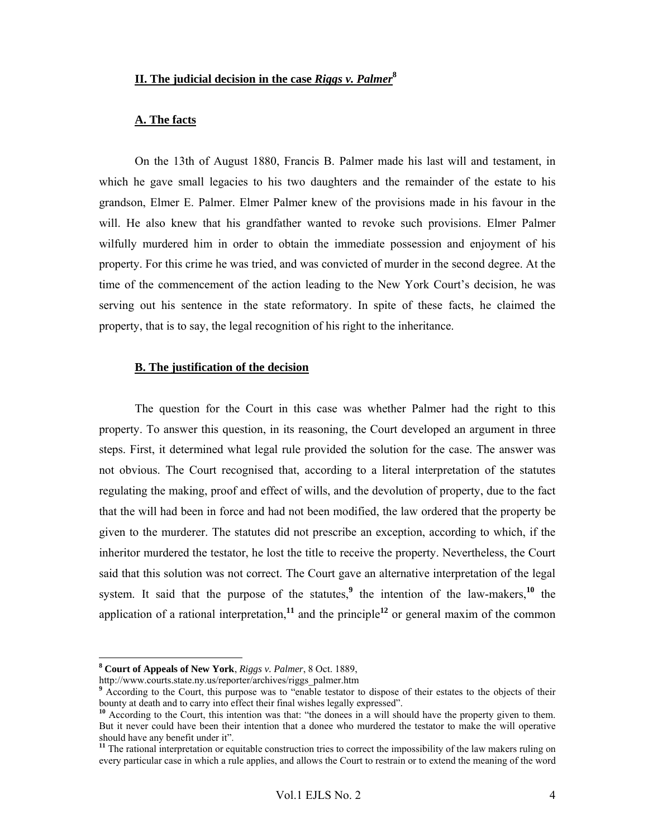## **II. The judicial decision in the case** *Riggs v. Palmer***<sup>8</sup>**

#### **A. The facts**

On the 13th of August 1880, Francis B. Palmer made his last will and testament, in which he gave small legacies to his two daughters and the remainder of the estate to his grandson, Elmer E. Palmer. Elmer Palmer knew of the provisions made in his favour in the will. He also knew that his grandfather wanted to revoke such provisions. Elmer Palmer wilfully murdered him in order to obtain the immediate possession and enjoyment of his property. For this crime he was tried, and was convicted of murder in the second degree. At the time of the commencement of the action leading to the New York Court's decision, he was serving out his sentence in the state reformatory. In spite of these facts, he claimed the property, that is to say, the legal recognition of his right to the inheritance.

#### **B. The justification of the decision**

The question for the Court in this case was whether Palmer had the right to this property. To answer this question, in its reasoning, the Court developed an argument in three steps. First, it determined what legal rule provided the solution for the case. The answer was not obvious. The Court recognised that, according to a literal interpretation of the statutes regulating the making, proof and effect of wills, and the devolution of property, due to the fact that the will had been in force and had not been modified, the law ordered that the property be given to the murderer. The statutes did not prescribe an exception, according to which, if the inheritor murdered the testator, he lost the title to receive the property. Nevertheless, the Court said that this solution was not correct. The Court gave an alternative interpretation of the legal system. It said that the purpose of the statutes,<sup>9</sup> the intention of the law-makers,<sup>10</sup> the application of a rational interpretation,<sup>11</sup> and the principle<sup>12</sup> or general maxim of the common

**<sup>8</sup> Court of Appeals of New York**, *Riggs v. Palmer*, 8 Oct. 1889,

http://www.courts.state.ny.us/reporter/archives/riggs\_palmer.htm

**<sup>9</sup>** According to the Court, this purpose was to "enable testator to dispose of their estates to the objects of their bounty at death and to carry into effect their final wishes legally expressed".

<sup>&</sup>lt;sup>10</sup> According to the Court, this intention was that: "the donees in a will should have the property given to them. But it never could have been their intention that a donee who murdered the testator to make the will operative should have any benefit under it".

<sup>&</sup>lt;sup>11</sup> The rational interpretation or equitable construction tries to correct the impossibility of the law makers ruling on every particular case in which a rule applies, and allows the Court to restrain or to extend the meaning of the word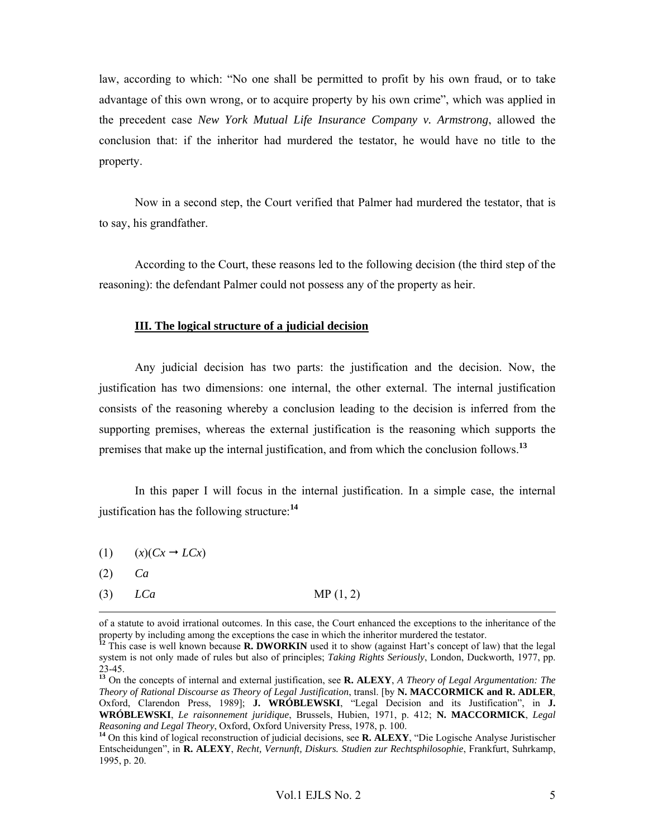law, according to which: "No one shall be permitted to profit by his own fraud, or to take advantage of this own wrong, or to acquire property by his own crime", which was applied in the precedent case *New York Mutual Life Insurance Company v. Armstrong*, allowed the conclusion that: if the inheritor had murdered the testator, he would have no title to the property.

Now in a second step, the Court verified that Palmer had murdered the testator, that is to say, his grandfather.

According to the Court, these reasons led to the following decision (the third step of the reasoning): the defendant Palmer could not possess any of the property as heir.

### **III. The logical structure of a judicial decision**

Any judicial decision has two parts: the justification and the decision. Now, the justification has two dimensions: one internal, the other external. The internal justification consists of the reasoning whereby a conclusion leading to the decision is inferred from the supporting premises, whereas the external justification is the reasoning which supports the premises that make up the internal justification, and from which the conclusion follows.**<sup>13</sup>**

In this paper I will focus in the internal justification. In a simple case, the internal justification has the following structure:**<sup>14</sup>**

- (1)  $(x)(Cx \rightarrow LCx)$
- (2) *Ca*
- (3) *LCa* MP (1, 2)

of a statute to avoid irrational outcomes. In this case, the Court enhanced the exceptions to the inheritance of the property by including among the exceptions the case in which the inheritor murdered the testator.

**<sup>12</sup>** This case is well known because **R. DWORKIN** used it to show (against Hart's concept of law) that the legal system is not only made of rules but also of principles; *Taking Rights Seriously*, London, Duckworth, 1977, pp. 23-45.

**<sup>13</sup>** On the concepts of internal and external justification, see **R. ALEXY**, *A Theory of Legal Argumentation: The Theory of Rational Discourse as Theory of Legal Justification*, transl. [by **N. MACCORMICK and R. ADLER**, Oxford, Clarendon Press, 1989]; **J. WRÓBLEWSKI**, "Legal Decision and its Justification", in **J. WRÓBLEWSKI**, *Le raisonnement juridique*, Brussels, Hubien, 1971, p. 412; **N. MACCORMICK**, *Legal Reasoning and Legal Theory*, Oxford, Oxford University Press, 1978, p. 100. **<sup>14</sup>** On this kind of logical reconstruction of judicial decisions, see **R. ALEXY**, "Die Logische Analyse Juristischer

Entscheidungen", in **R. ALEXY**, *Recht, Vernunft, Diskurs. Studien zur Rechtsphilosophie*, Frankfurt, Suhrkamp, 1995, p. 20.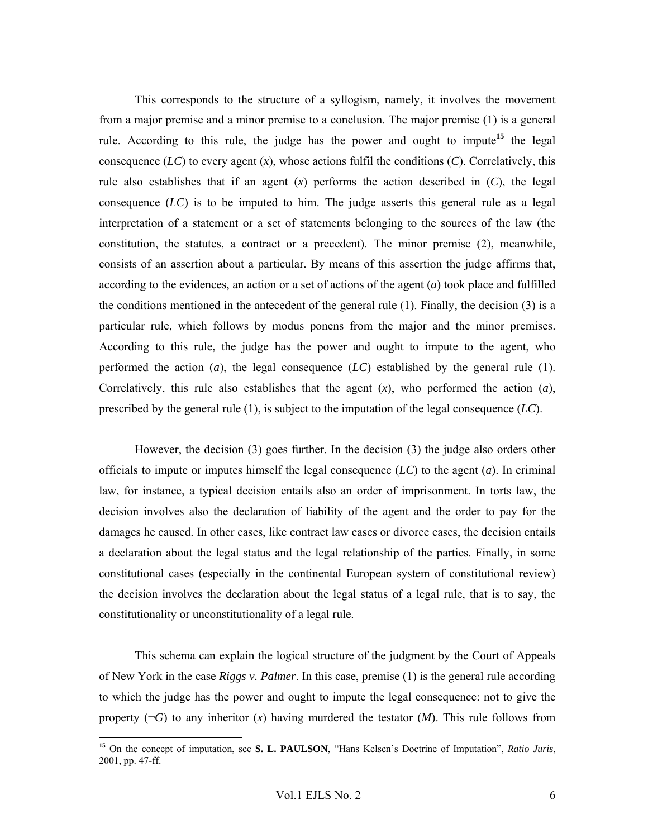This corresponds to the structure of a syllogism, namely, it involves the movement from a major premise and a minor premise to a conclusion. The major premise (1) is a general rule. According to this rule, the judge has the power and ought to impute**<sup>15</sup>** the legal consequence  $(LC)$  to every agent  $(x)$ , whose actions fulfil the conditions  $(C)$ . Correlatively, this rule also establishes that if an agent  $(x)$  performs the action described in  $(C)$ , the legal consequence  $(LC)$  is to be imputed to him. The judge asserts this general rule as a legal interpretation of a statement or a set of statements belonging to the sources of the law (the constitution, the statutes, a contract or a precedent). The minor premise (2), meanwhile, consists of an assertion about a particular. By means of this assertion the judge affirms that, according to the evidences, an action or a set of actions of the agent (*a*) took place and fulfilled the conditions mentioned in the antecedent of the general rule (1). Finally, the decision (3) is a particular rule, which follows by modus ponens from the major and the minor premises. According to this rule, the judge has the power and ought to impute to the agent, who performed the action  $(a)$ , the legal consequence  $(LC)$  established by the general rule (1). Correlatively, this rule also establishes that the agent  $(x)$ , who performed the action  $(a)$ , prescribed by the general rule (1), is subject to the imputation of the legal consequence (*LC*).

However, the decision (3) goes further. In the decision (3) the judge also orders other officials to impute or imputes himself the legal consequence (*LC*) to the agent (*a*). In criminal law, for instance, a typical decision entails also an order of imprisonment. In torts law, the decision involves also the declaration of liability of the agent and the order to pay for the damages he caused. In other cases, like contract law cases or divorce cases, the decision entails a declaration about the legal status and the legal relationship of the parties. Finally, in some constitutional cases (especially in the continental European system of constitutional review) the decision involves the declaration about the legal status of a legal rule, that is to say, the constitutionality or unconstitutionality of a legal rule.

This schema can explain the logical structure of the judgment by the Court of Appeals of New York in the case *Riggs v. Palmer*. In this case, premise (1) is the general rule according to which the judge has the power and ought to impute the legal consequence: not to give the property  $(\neg G)$  to any inheritor (*x*) having murdered the testator (*M*). This rule follows from

**<sup>15</sup>** On the concept of imputation, see **S. L. PAULSON**, "Hans Kelsen's Doctrine of Imputation", *Ratio Juris*, 2001, pp. 47-ff.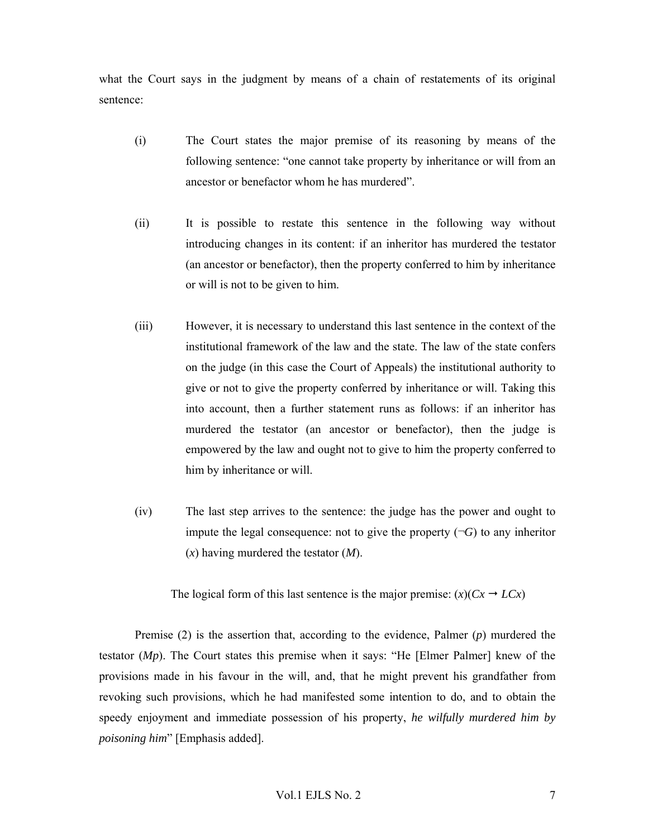what the Court says in the judgment by means of a chain of restatements of its original sentence:

- (i) The Court states the major premise of its reasoning by means of the following sentence: "one cannot take property by inheritance or will from an ancestor or benefactor whom he has murdered".
- (ii) It is possible to restate this sentence in the following way without introducing changes in its content: if an inheritor has murdered the testator (an ancestor or benefactor), then the property conferred to him by inheritance or will is not to be given to him.
- (iii) However, it is necessary to understand this last sentence in the context of the institutional framework of the law and the state. The law of the state confers on the judge (in this case the Court of Appeals) the institutional authority to give or not to give the property conferred by inheritance or will. Taking this into account, then a further statement runs as follows: if an inheritor has murdered the testator (an ancestor or benefactor), then the judge is empowered by the law and ought not to give to him the property conferred to him by inheritance or will.
- (iv) The last step arrives to the sentence: the judge has the power and ought to impute the legal consequence: not to give the property  $(\neg G)$  to any inheritor (*x*) having murdered the testator (*M*).

The logical form of this last sentence is the major premise:  $(x)(Cx \rightarrow LCx)$ 

Premise (2) is the assertion that, according to the evidence, Palmer (*p*) murdered the testator (*Mp*). The Court states this premise when it says: "He [Elmer Palmer] knew of the provisions made in his favour in the will, and, that he might prevent his grandfather from revoking such provisions, which he had manifested some intention to do, and to obtain the speedy enjoyment and immediate possession of his property, *he wilfully murdered him by poisoning him*" [Emphasis added].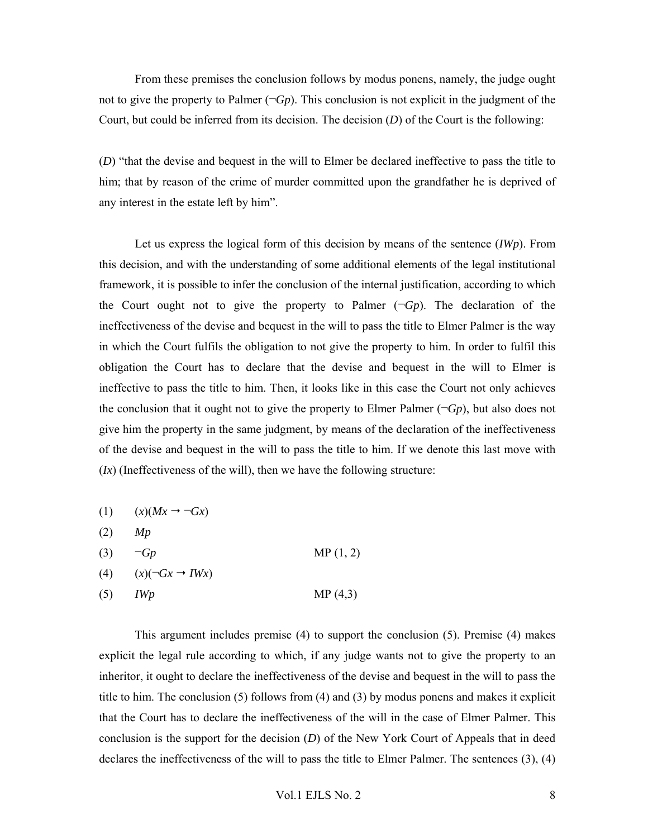From these premises the conclusion follows by modus ponens, namely, the judge ought not to give the property to Palmer  $(\neg G_p)$ . This conclusion is not explicit in the judgment of the Court, but could be inferred from its decision. The decision (*D*) of the Court is the following:

(*D*) "that the devise and bequest in the will to Elmer be declared ineffective to pass the title to him; that by reason of the crime of murder committed upon the grandfather he is deprived of any interest in the estate left by him".

Let us express the logical form of this decision by means of the sentence (*IWp*). From this decision, and with the understanding of some additional elements of the legal institutional framework, it is possible to infer the conclusion of the internal justification, according to which the Court ought not to give the property to Palmer  $(\neg Gp)$ . The declaration of the ineffectiveness of the devise and bequest in the will to pass the title to Elmer Palmer is the way in which the Court fulfils the obligation to not give the property to him. In order to fulfil this obligation the Court has to declare that the devise and bequest in the will to Elmer is ineffective to pass the title to him. Then, it looks like in this case the Court not only achieves the conclusion that it ought not to give the property to Elmer Palmer  $(\neg G_p)$ , but also does not give him the property in the same judgment, by means of the declaration of the ineffectiveness of the devise and bequest in the will to pass the title to him. If we denote this last move with (*Ix*) (Ineffectiveness of the will), then we have the following structure:

|     | (1) $(x)(Mx \rightarrow \neg Gx)$ |          |
|-----|-----------------------------------|----------|
| (2) | Mp                                |          |
| (3) | $\neg Gp$                         | MP(1, 2) |
| (4) | $(x)(\neg Gx \rightarrow IWx)$    |          |
| (5) | <i>IWp</i>                        | MP(4,3)  |

This argument includes premise (4) to support the conclusion (5). Premise (4) makes explicit the legal rule according to which, if any judge wants not to give the property to an inheritor, it ought to declare the ineffectiveness of the devise and bequest in the will to pass the title to him. The conclusion (5) follows from (4) and (3) by modus ponens and makes it explicit that the Court has to declare the ineffectiveness of the will in the case of Elmer Palmer. This conclusion is the support for the decision (*D*) of the New York Court of Appeals that in deed declares the ineffectiveness of the will to pass the title to Elmer Palmer. The sentences (3), (4)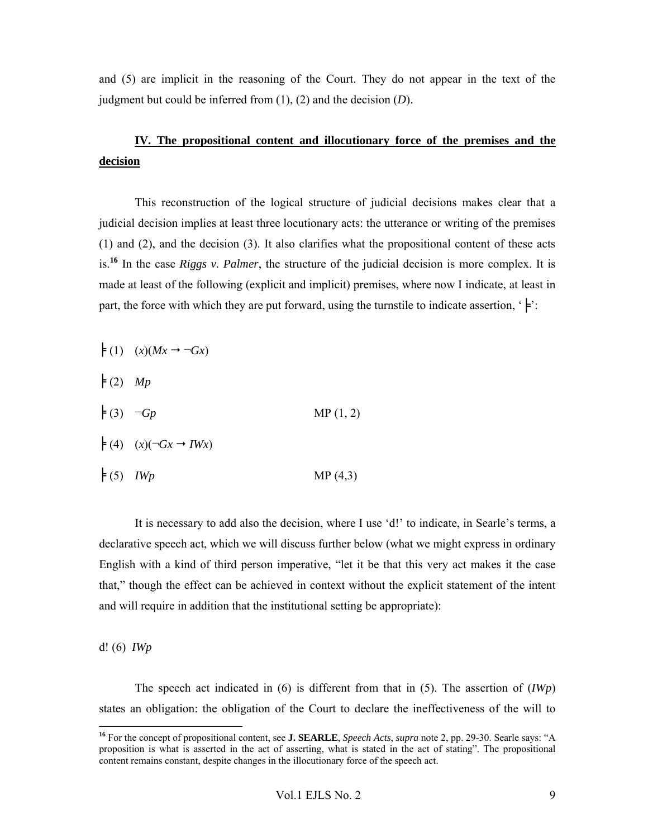and (5) are implicit in the reasoning of the Court. They do not appear in the text of the judgment but could be inferred from (1), (2) and the decision (*D*).

# **IV. The propositional content and illocutionary force of the premises and the decision**

This reconstruction of the logical structure of judicial decisions makes clear that a judicial decision implies at least three locutionary acts: the utterance or writing of the premises (1) and (2), and the decision (3). It also clarifies what the propositional content of these acts is.**<sup>16</sup>** In the case *Riggs v. Palmer*, the structure of the judicial decision is more complex. It is made at least of the following (explicit and implicit) premises, where now I indicate, at least in part, the force with which they are put forward, using the turnstile to indicate assertion, ' $\models$ ':

- $\models$  (1)  $(x)(Mx \rightarrow \neg Gx)$  $\neq$  (2) *Mp*  $\neq$  (3)  $\neg Gp$  MP (1, 2)  $\models$  (4)  $(x)(\neg Gx \rightarrow IWx)$
- $\neq$  (5) *IWp* MP (4,3)

It is necessary to add also the decision, where I use 'd!' to indicate, in Searle's terms, a declarative speech act, which we will discuss further below (what we might express in ordinary English with a kind of third person imperative, "let it be that this very act makes it the case that," though the effect can be achieved in context without the explicit statement of the intent and will require in addition that the institutional setting be appropriate):

d! (6) *IWp*

 $\overline{a}$ 

The speech act indicated in (6) is different from that in (5). The assertion of (*IWp*) states an obligation: the obligation of the Court to declare the ineffectiveness of the will to

**<sup>16</sup>** For the concept of propositional content, see **J. SEARLE**, *Speech Acts*, *supra* note 2, pp. 29-30. Searle says: "A proposition is what is asserted in the act of asserting, what is stated in the act of stating". The propositional content remains constant, despite changes in the illocutionary force of the speech act.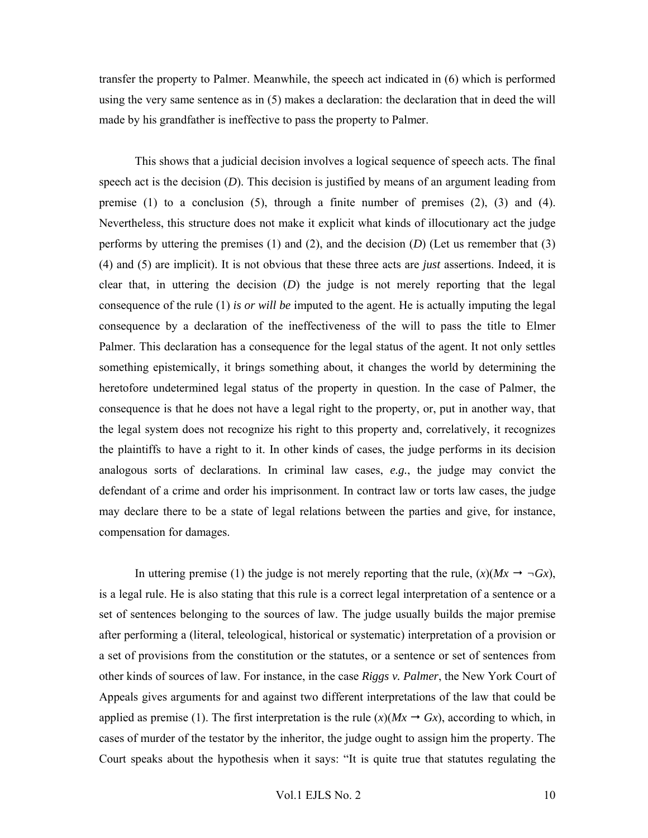transfer the property to Palmer. Meanwhile, the speech act indicated in (6) which is performed using the very same sentence as in (5) makes a declaration: the declaration that in deed the will made by his grandfather is ineffective to pass the property to Palmer.

This shows that a judicial decision involves a logical sequence of speech acts. The final speech act is the decision (*D*). This decision is justified by means of an argument leading from premise  $(1)$  to a conclusion  $(5)$ , through a finite number of premises  $(2)$ ,  $(3)$  and  $(4)$ . Nevertheless, this structure does not make it explicit what kinds of illocutionary act the judge performs by uttering the premises (1) and (2), and the decision (*D*) (Let us remember that (3) (4) and (5) are implicit). It is not obvious that these three acts are *just* assertions. Indeed, it is clear that, in uttering the decision (*D*) the judge is not merely reporting that the legal consequence of the rule (1) *is or will be* imputed to the agent. He is actually imputing the legal consequence by a declaration of the ineffectiveness of the will to pass the title to Elmer Palmer. This declaration has a consequence for the legal status of the agent. It not only settles something epistemically, it brings something about, it changes the world by determining the heretofore undetermined legal status of the property in question. In the case of Palmer, the consequence is that he does not have a legal right to the property, or, put in another way, that the legal system does not recognize his right to this property and, correlatively, it recognizes the plaintiffs to have a right to it. In other kinds of cases, the judge performs in its decision analogous sorts of declarations. In criminal law cases, *e.g.*, the judge may convict the defendant of a crime and order his imprisonment. In contract law or torts law cases, the judge may declare there to be a state of legal relations between the parties and give, for instance, compensation for damages.

In uttering premise (1) the judge is not merely reporting that the rule,  $(x)(Mx \rightarrow \neg Gx)$ , is a legal rule. He is also stating that this rule is a correct legal interpretation of a sentence or a set of sentences belonging to the sources of law. The judge usually builds the major premise after performing a (literal, teleological, historical or systematic) interpretation of a provision or a set of provisions from the constitution or the statutes, or a sentence or set of sentences from other kinds of sources of law. For instance, in the case *Riggs v. Palmer*, the New York Court of Appeals gives arguments for and against two different interpretations of the law that could be applied as premise (1). The first interpretation is the rule  $(x)(Mx \rightarrow Gx)$ , according to which, in cases of murder of the testator by the inheritor, the judge ought to assign him the property. The Court speaks about the hypothesis when it says: "It is quite true that statutes regulating the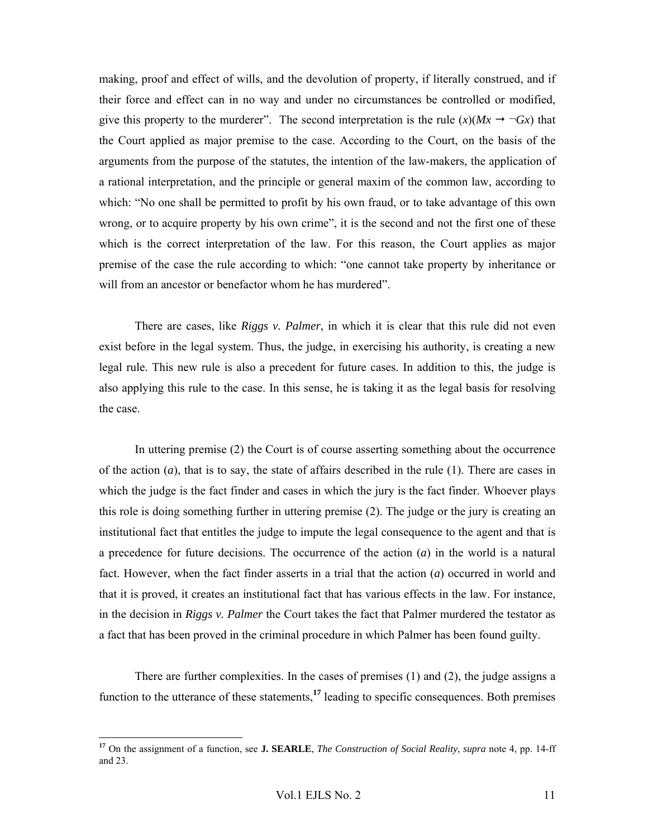making, proof and effect of wills, and the devolution of property, if literally construed, and if their force and effect can in no way and under no circumstances be controlled or modified, give this property to the murderer". The second interpretation is the rule  $(x)(Mx \rightarrow \neg Gx)$  that the Court applied as major premise to the case. According to the Court, on the basis of the arguments from the purpose of the statutes, the intention of the law-makers, the application of a rational interpretation, and the principle or general maxim of the common law, according to which: "No one shall be permitted to profit by his own fraud, or to take advantage of this own wrong, or to acquire property by his own crime", it is the second and not the first one of these which is the correct interpretation of the law. For this reason, the Court applies as major premise of the case the rule according to which: "one cannot take property by inheritance or will from an ancestor or benefactor whom he has murdered".

There are cases, like *Riggs v. Palmer*, in which it is clear that this rule did not even exist before in the legal system. Thus, the judge, in exercising his authority, is creating a new legal rule. This new rule is also a precedent for future cases. In addition to this, the judge is also applying this rule to the case. In this sense, he is taking it as the legal basis for resolving the case.

In uttering premise (2) the Court is of course asserting something about the occurrence of the action (*a*), that is to say, the state of affairs described in the rule (1). There are cases in which the judge is the fact finder and cases in which the jury is the fact finder. Whoever plays this role is doing something further in uttering premise (2). The judge or the jury is creating an institutional fact that entitles the judge to impute the legal consequence to the agent and that is a precedence for future decisions. The occurrence of the action (*a*) in the world is a natural fact. However, when the fact finder asserts in a trial that the action (*a*) occurred in world and that it is proved, it creates an institutional fact that has various effects in the law. For instance, in the decision in *Riggs v. Palmer* the Court takes the fact that Palmer murdered the testator as a fact that has been proved in the criminal procedure in which Palmer has been found guilty.

There are further complexities. In the cases of premises (1) and (2), the judge assigns a function to the utterance of these statements,**<sup>17</sup>** leading to specific consequences. Both premises

**<sup>17</sup>** On the assignment of a function, see **J. SEARLE**, *The Construction of Social Reality*, *supra* note 4, pp. 14-ff and 23.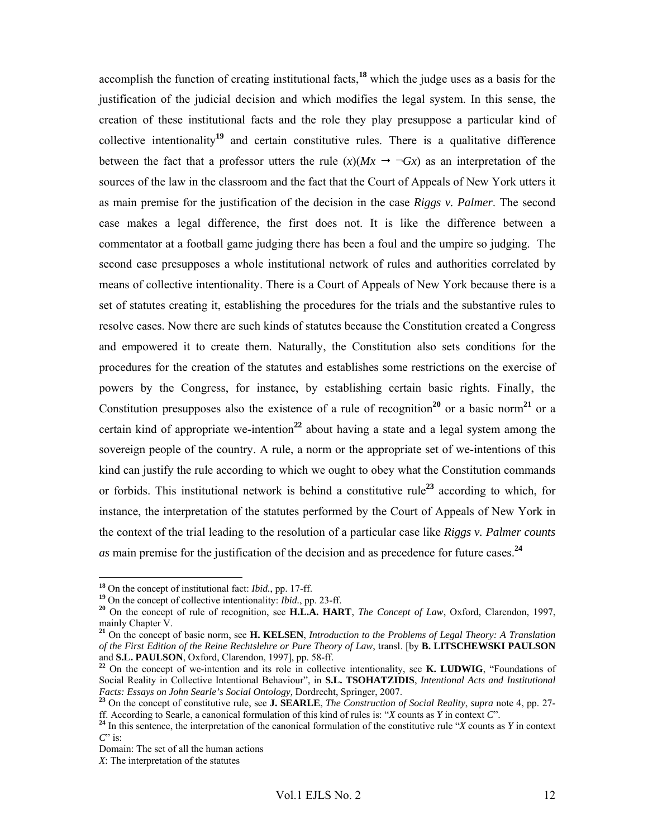accomplish the function of creating institutional facts,**<sup>18</sup>** which the judge uses as a basis for the justification of the judicial decision and which modifies the legal system. In this sense, the creation of these institutional facts and the role they play presuppose a particular kind of collective intentionality**<sup>19</sup>** and certain constitutive rules. There is a qualitative difference between the fact that a professor utters the rule  $(x)(Mx \rightarrow \neg Gx)$  as an interpretation of the sources of the law in the classroom and the fact that the Court of Appeals of New York utters it as main premise for the justification of the decision in the case *Riggs v. Palmer*. The second case makes a legal difference, the first does not. It is like the difference between a commentator at a football game judging there has been a foul and the umpire so judging. The second case presupposes a whole institutional network of rules and authorities correlated by means of collective intentionality. There is a Court of Appeals of New York because there is a set of statutes creating it, establishing the procedures for the trials and the substantive rules to resolve cases. Now there are such kinds of statutes because the Constitution created a Congress and empowered it to create them. Naturally, the Constitution also sets conditions for the procedures for the creation of the statutes and establishes some restrictions on the exercise of powers by the Congress, for instance, by establishing certain basic rights. Finally, the Constitution presupposes also the existence of a rule of recognition<sup>20</sup> or a basic norm<sup>21</sup> or a certain kind of appropriate we-intention**<sup>22</sup>** about having a state and a legal system among the sovereign people of the country. A rule, a norm or the appropriate set of we-intentions of this kind can justify the rule according to which we ought to obey what the Constitution commands or forbids. This institutional network is behind a constitutive rule**<sup>23</sup>** according to which, for instance, the interpretation of the statutes performed by the Court of Appeals of New York in the context of the trial leading to the resolution of a particular case like *Riggs v. Palmer counts as* main premise for the justification of the decision and as precedence for future cases.**<sup>24</sup>**

<sup>&</sup>lt;sup>18</sup> On the concept of institutional fact: *Ibid.*, pp. 17-ff.<br><sup>19</sup> On the concept of collective intentionality: *Ibid.*, pp. 23-ff.<br><sup>20</sup> On the concept of rule of recognition, see **H.L.A. HART**, *The Concept of Law*, Oxf mainly Chapter V.

**<sup>21</sup>** On the concept of basic norm, see **H. KELSEN**, *Introduction to the Problems of Legal Theory: A Translation of the First Edition of the Reine Rechtslehre or Pure Theory of Law*, transl. [by **B. LITSCHEWSKI PAULSON**

<sup>&</sup>lt;sup>22</sup> On the concept of we-intention and its role in collective intentionality, see **K. LUDWIG**, "Foundations of Social Reality in Collective Intentional Behaviour", in **S.L. TSOHATZIDIS**, *Intentional Acts and Institutional Facts: Essays on John Searle's Social Ontology*, Dordrecht, Springer, 2007.

<sup>&</sup>lt;sup>23</sup> On the concept of constitutive rule, see **J. SEARLE**, *The Construction of Social Reality*, *supra* note 4, pp. 27-<br>ff. According to Searle, a canonical formulation of this kind of rules is: "X counts as Y in context

 $^{24}$  In this sentence, the interpretation of the canonical formulation of the constitutive rule "X counts as Y in context" *C*" is:

Domain: The set of all the human actions

*X*: The interpretation of the statutes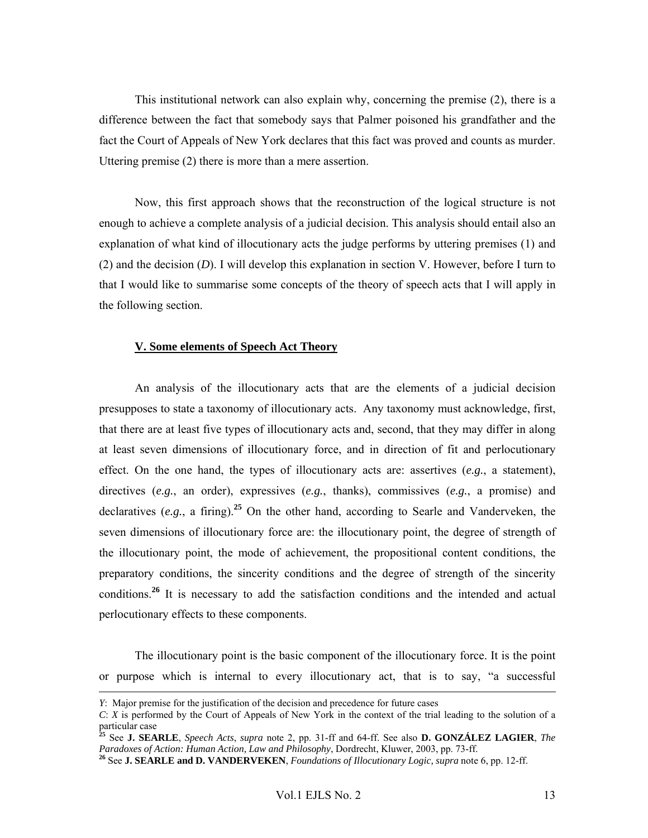This institutional network can also explain why, concerning the premise (2), there is a difference between the fact that somebody says that Palmer poisoned his grandfather and the fact the Court of Appeals of New York declares that this fact was proved and counts as murder. Uttering premise (2) there is more than a mere assertion.

Now, this first approach shows that the reconstruction of the logical structure is not enough to achieve a complete analysis of a judicial decision. This analysis should entail also an explanation of what kind of illocutionary acts the judge performs by uttering premises (1) and (2) and the decision (*D*). I will develop this explanation in section V. However, before I turn to that I would like to summarise some concepts of the theory of speech acts that I will apply in the following section.

#### **V. Some elements of Speech Act Theory**

An analysis of the illocutionary acts that are the elements of a judicial decision presupposes to state a taxonomy of illocutionary acts. Any taxonomy must acknowledge, first, that there are at least five types of illocutionary acts and, second, that they may differ in along at least seven dimensions of illocutionary force, and in direction of fit and perlocutionary effect. On the one hand, the types of illocutionary acts are: assertives (*e.g.*, a statement), directives (*e.g.*, an order), expressives (*e.g.*, thanks), commissives (*e.g.*, a promise) and declaratives (*e.g.*, a firing).**<sup>25</sup>** On the other hand, according to Searle and Vanderveken, the seven dimensions of illocutionary force are: the illocutionary point, the degree of strength of the illocutionary point, the mode of achievement, the propositional content conditions, the preparatory conditions, the sincerity conditions and the degree of strength of the sincerity conditions.**<sup>26</sup>** It is necessary to add the satisfaction conditions and the intended and actual perlocutionary effects to these components.

The illocutionary point is the basic component of the illocutionary force. It is the point or purpose which is internal to every illocutionary act, that is to say, "a successful

*Y*: Major premise for the justification of the decision and precedence for future cases

*C*: *X* is performed by the Court of Appeals of New York in the context of the trial leading to the solution of a particular case

**<sup>25</sup>** See **J. SEARLE**, *Speech Acts*, *supra* note 2, pp. 31-ff and 64-ff. See also **D. GONZÁLEZ LAGIER**, *The*  Paradoxes of Action: Human Action, Law and Philosophy, Dordrecht, Kluwer, 2003, pp. 73-ff.<br><sup>26</sup> See J. SEARLE and D. VANDERVEKEN, Foundations of Illocutionary Logic, supra note 6, pp. 12-ff.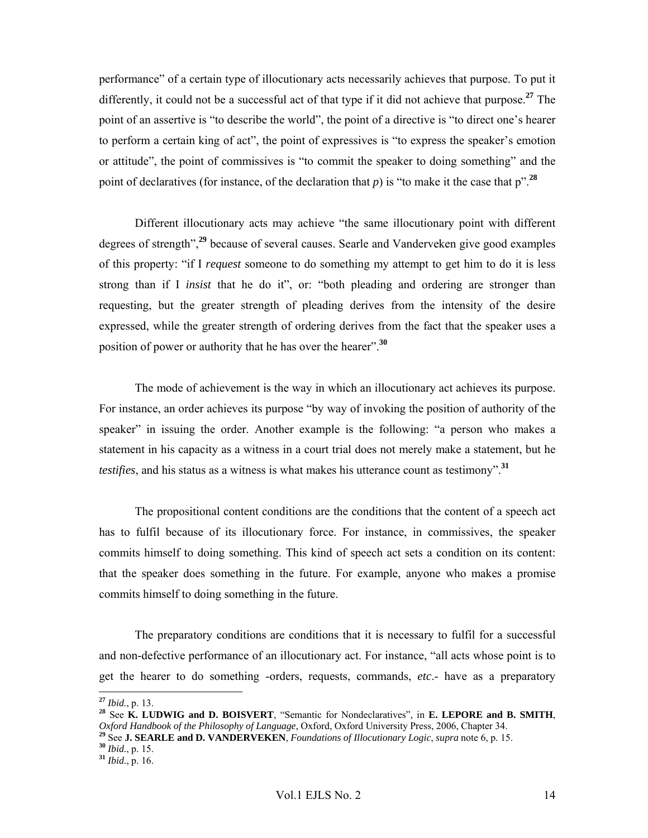performance" of a certain type of illocutionary acts necessarily achieves that purpose. To put it differently, it could not be a successful act of that type if it did not achieve that purpose.**<sup>27</sup>** The point of an assertive is "to describe the world", the point of a directive is "to direct one's hearer to perform a certain king of act", the point of expressives is "to express the speaker's emotion or attitude", the point of commissives is "to commit the speaker to doing something" and the point of declaratives (for instance, of the declaration that *p*) is "to make it the case that  $p$ ".<sup>28</sup>

 Different illocutionary acts may achieve "the same illocutionary point with different degrees of strength",**<sup>29</sup>** because of several causes. Searle and Vanderveken give good examples of this property: "if I *request* someone to do something my attempt to get him to do it is less strong than if I *insist* that he do it", or: "both pleading and ordering are stronger than requesting, but the greater strength of pleading derives from the intensity of the desire expressed, while the greater strength of ordering derives from the fact that the speaker uses a position of power or authority that he has over the hearer".**<sup>30</sup>**

The mode of achievement is the way in which an illocutionary act achieves its purpose. For instance, an order achieves its purpose "by way of invoking the position of authority of the speaker" in issuing the order. Another example is the following: "a person who makes a statement in his capacity as a witness in a court trial does not merely make a statement, but he *testifies*, and his status as a witness is what makes his utterance count as testimony".**<sup>31</sup>**

The propositional content conditions are the conditions that the content of a speech act has to fulfil because of its illocutionary force. For instance, in commissives, the speaker commits himself to doing something. This kind of speech act sets a condition on its content: that the speaker does something in the future. For example, anyone who makes a promise commits himself to doing something in the future.

The preparatory conditions are conditions that it is necessary to fulfil for a successful and non-defective performance of an illocutionary act. For instance, "all acts whose point is to get the hearer to do something -orders, requests, commands, *etc*.- have as a preparatory

 $^{27}$  Ibid., p. 13.

<sup>&</sup>lt;sup>28</sup> See **K. LUDWIG and D. BOISVERT**, "Semantic for Nondeclaratives", in **E. LEPORE and B. SMITH**, *Oxford Handbook of the Philosophy of Language*, *Oxford*, *Oxford University Press*, 2006, *Chapter 34*.

<sup>&</sup>lt;sup>29</sup> See **J. SEARLE and D. VANDERVEKEN**, Foundations of Illocutionary Logic, supra note 6, p. 15.<br><sup>30</sup> Ibid., p. 15.<br><sup>31</sup> Ibid., p. 16.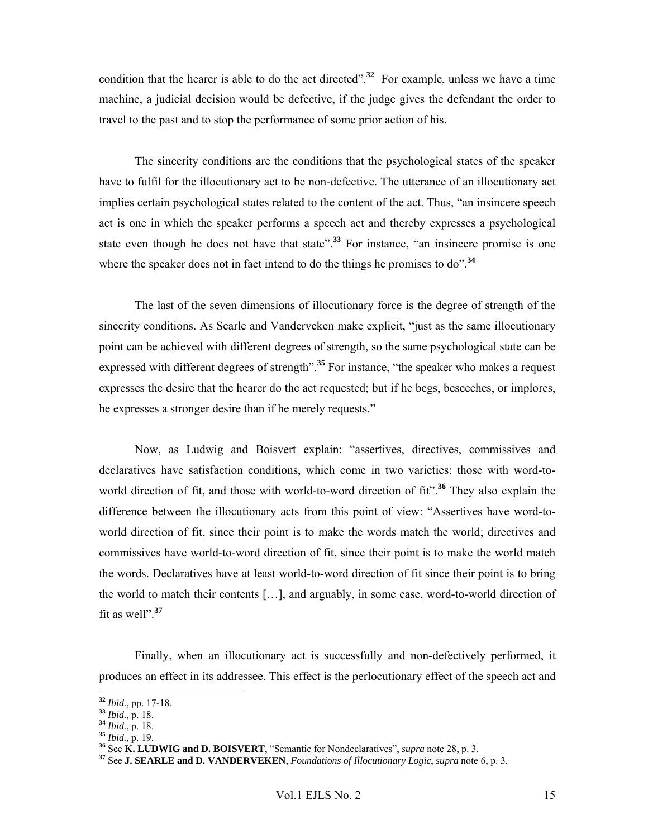condition that the hearer is able to do the act directed".<sup>32</sup> For example, unless we have a time machine, a judicial decision would be defective, if the judge gives the defendant the order to travel to the past and to stop the performance of some prior action of his.

The sincerity conditions are the conditions that the psychological states of the speaker have to fulfil for the illocutionary act to be non-defective. The utterance of an illocutionary act implies certain psychological states related to the content of the act. Thus, "an insincere speech act is one in which the speaker performs a speech act and thereby expresses a psychological state even though he does not have that state".<sup>33</sup> For instance, "an insincere promise is one where the speaker does not in fact intend to do the things he promises to do".<sup>34</sup>

The last of the seven dimensions of illocutionary force is the degree of strength of the sincerity conditions. As Searle and Vanderveken make explicit, "just as the same illocutionary point can be achieved with different degrees of strength, so the same psychological state can be expressed with different degrees of strength<sup>". 35</sup> For instance, "the speaker who makes a request expresses the desire that the hearer do the act requested; but if he begs, beseeches, or implores, he expresses a stronger desire than if he merely requests."

Now, as Ludwig and Boisvert explain: "assertives, directives, commissives and declaratives have satisfaction conditions, which come in two varieties: those with word-toworld direction of fit, and those with world-to-word direction of fit".**<sup>36</sup>** They also explain the difference between the illocutionary acts from this point of view: "Assertives have word-toworld direction of fit, since their point is to make the words match the world; directives and commissives have world-to-word direction of fit, since their point is to make the world match the words. Declaratives have at least world-to-word direction of fit since their point is to bring the world to match their contents […], and arguably, in some case, word-to-world direction of fit as well".**<sup>37</sup>**

Finally, when an illocutionary act is successfully and non-defectively performed, it produces an effect in its addressee. This effect is the perlocutionary effect of the speech act and

<sup>&</sup>lt;sup>32</sup> *Ibid.*, pp. 17-18.<br>
<sup>33</sup> *Ibid.*, p. 18.<br>
<sup>34</sup> *Ibid.*, p. 18.<br>
<sup>35</sup> See **K. LUDWIG and D. BOISVERT**, "Semantic for Nondeclaratives", *supra* note 28, p. 3.<br>
<sup>36</sup> See **K. LUDWIG and D. BOISVERT**, "Semantic for Nonde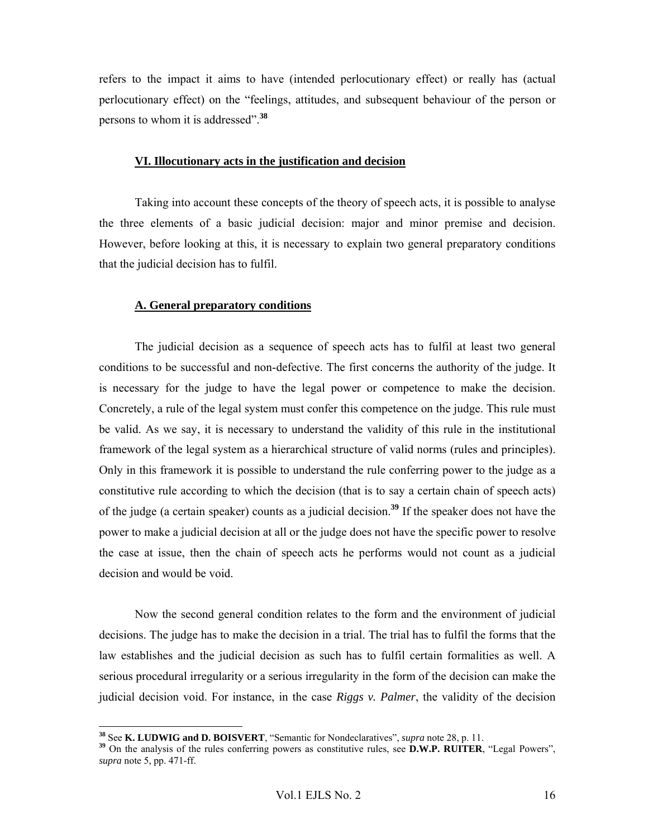refers to the impact it aims to have (intended perlocutionary effect) or really has (actual perlocutionary effect) on the "feelings, attitudes, and subsequent behaviour of the person or persons to whom it is addressed".**<sup>38</sup>**

#### **VI. Illocutionary acts in the justification and decision**

Taking into account these concepts of the theory of speech acts, it is possible to analyse the three elements of a basic judicial decision: major and minor premise and decision. However, before looking at this, it is necessary to explain two general preparatory conditions that the judicial decision has to fulfil.

#### **A. General preparatory conditions**

The judicial decision as a sequence of speech acts has to fulfil at least two general conditions to be successful and non-defective. The first concerns the authority of the judge. It is necessary for the judge to have the legal power or competence to make the decision. Concretely, a rule of the legal system must confer this competence on the judge. This rule must be valid. As we say, it is necessary to understand the validity of this rule in the institutional framework of the legal system as a hierarchical structure of valid norms (rules and principles). Only in this framework it is possible to understand the rule conferring power to the judge as a constitutive rule according to which the decision (that is to say a certain chain of speech acts) of the judge (a certain speaker) counts as a judicial decision.**<sup>39</sup>** If the speaker does not have the power to make a judicial decision at all or the judge does not have the specific power to resolve the case at issue, then the chain of speech acts he performs would not count as a judicial decision and would be void.

Now the second general condition relates to the form and the environment of judicial decisions. The judge has to make the decision in a trial. The trial has to fulfil the forms that the law establishes and the judicial decision as such has to fulfil certain formalities as well. A serious procedural irregularity or a serious irregularity in the form of the decision can make the judicial decision void. For instance, in the case *Riggs v. Palmer*, the validity of the decision

<sup>&</sup>lt;sup>38</sup> See K. LUDWIG and D. BOISVERT, "Semantic for Nondeclaratives", supra note 28, p. 11.

<sup>&</sup>lt;sup>39</sup> On the analysis of the rules conferring powers as constitutive rules, see **D.W.P. RUITER**, "Legal Powers", *supra* note 5, pp. 471-ff.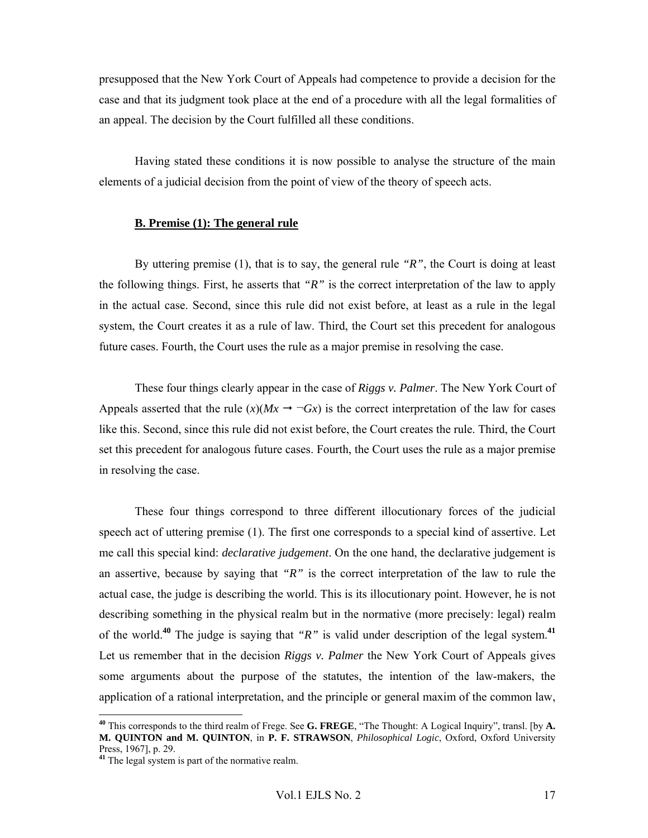presupposed that the New York Court of Appeals had competence to provide a decision for the case and that its judgment took place at the end of a procedure with all the legal formalities of an appeal. The decision by the Court fulfilled all these conditions.

 Having stated these conditions it is now possible to analyse the structure of the main elements of a judicial decision from the point of view of the theory of speech acts.

## **B. Premise (1): The general rule**

By uttering premise (1), that is to say, the general rule *"R"*, the Court is doing at least the following things. First, he asserts that *"R"* is the correct interpretation of the law to apply in the actual case. Second, since this rule did not exist before, at least as a rule in the legal system, the Court creates it as a rule of law. Third, the Court set this precedent for analogous future cases. Fourth, the Court uses the rule as a major premise in resolving the case.

These four things clearly appear in the case of *Riggs v. Palmer*. The New York Court of Appeals asserted that the rule  $(x)(Mx \rightarrow \neg Gx)$  is the correct interpretation of the law for cases like this. Second, since this rule did not exist before, the Court creates the rule. Third, the Court set this precedent for analogous future cases. Fourth, the Court uses the rule as a major premise in resolving the case.

These four things correspond to three different illocutionary forces of the judicial speech act of uttering premise (1). The first one corresponds to a special kind of assertive. Let me call this special kind: *declarative judgement*. On the one hand, the declarative judgement is an assertive, because by saying that *"R"* is the correct interpretation of the law to rule the actual case, the judge is describing the world. This is its illocutionary point. However, he is not describing something in the physical realm but in the normative (more precisely: legal) realm of the world.**<sup>40</sup>** The judge is saying that *"R"* is valid under description of the legal system.**<sup>41</sup>** Let us remember that in the decision *Riggs v. Palmer* the New York Court of Appeals gives some arguments about the purpose of the statutes, the intention of the law-makers, the application of a rational interpretation, and the principle or general maxim of the common law,

**<sup>40</sup>** This corresponds to the third realm of Frege. See **G. FREGE**, "The Thought: A Logical Inquiry", transl. [by **A. M. QUINTON and M. QUINTON**, in **P. F. STRAWSON**, *Philosophical Logic*, Oxford, Oxford University Press, 1967], p. 29.

<sup>&</sup>lt;sup>41</sup> The legal system is part of the normative realm.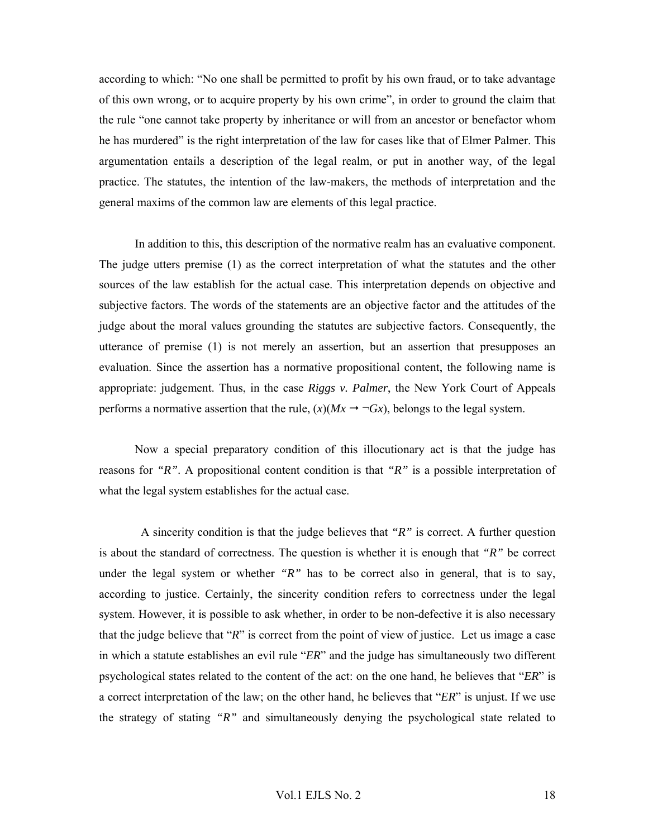according to which: "No one shall be permitted to profit by his own fraud, or to take advantage of this own wrong, or to acquire property by his own crime", in order to ground the claim that the rule "one cannot take property by inheritance or will from an ancestor or benefactor whom he has murdered" is the right interpretation of the law for cases like that of Elmer Palmer. This argumentation entails a description of the legal realm, or put in another way, of the legal practice. The statutes, the intention of the law-makers, the methods of interpretation and the general maxims of the common law are elements of this legal practice.

In addition to this, this description of the normative realm has an evaluative component. The judge utters premise (1) as the correct interpretation of what the statutes and the other sources of the law establish for the actual case. This interpretation depends on objective and subjective factors. The words of the statements are an objective factor and the attitudes of the judge about the moral values grounding the statutes are subjective factors. Consequently, the utterance of premise (1) is not merely an assertion, but an assertion that presupposes an evaluation. Since the assertion has a normative propositional content, the following name is appropriate: judgement. Thus, in the case *Riggs v. Palmer*, the New York Court of Appeals performs a normative assertion that the rule,  $(x)(Mx \rightarrow \neg Gx)$ , belongs to the legal system.

Now a special preparatory condition of this illocutionary act is that the judge has reasons for *"R"*. A propositional content condition is that *"R"* is a possible interpretation of what the legal system establishes for the actual case.

 A sincerity condition is that the judge believes that *"R"* is correct. A further question is about the standard of correctness. The question is whether it is enough that *"R"* be correct under the legal system or whether *"R"* has to be correct also in general, that is to say, according to justice. Certainly, the sincerity condition refers to correctness under the legal system. However, it is possible to ask whether, in order to be non-defective it is also necessary that the judge believe that "*R*" is correct from the point of view of justice. Let us image a case in which a statute establishes an evil rule "*ER*" and the judge has simultaneously two different psychological states related to the content of the act: on the one hand, he believes that "*ER*" is a correct interpretation of the law; on the other hand, he believes that "*ER*" is unjust. If we use the strategy of stating *"R"* and simultaneously denying the psychological state related to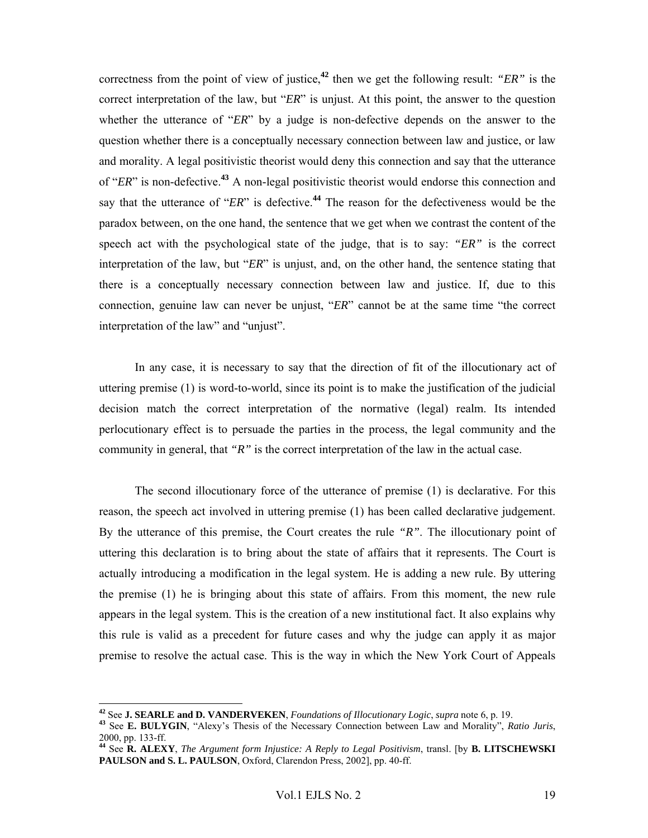correctness from the point of view of justice,**<sup>42</sup>** then we get the following result: *"ER"* is the correct interpretation of the law, but "*ER*" is unjust. At this point, the answer to the question whether the utterance of "*ER*" by a judge is non-defective depends on the answer to the question whether there is a conceptually necessary connection between law and justice, or law and morality. A legal positivistic theorist would deny this connection and say that the utterance of "*ER*" is non-defective.**<sup>43</sup>** A non-legal positivistic theorist would endorse this connection and say that the utterance of "*ER*" is defective.**<sup>44</sup>** The reason for the defectiveness would be the paradox between, on the one hand, the sentence that we get when we contrast the content of the speech act with the psychological state of the judge, that is to say: *"ER"* is the correct interpretation of the law, but "*ER*" is unjust, and, on the other hand, the sentence stating that there is a conceptually necessary connection between law and justice. If, due to this connection, genuine law can never be unjust, "*ER*" cannot be at the same time "the correct interpretation of the law" and "unjust".

In any case, it is necessary to say that the direction of fit of the illocutionary act of uttering premise (1) is word-to-world, since its point is to make the justification of the judicial decision match the correct interpretation of the normative (legal) realm. Its intended perlocutionary effect is to persuade the parties in the process, the legal community and the community in general, that *"R"* is the correct interpretation of the law in the actual case.

The second illocutionary force of the utterance of premise (1) is declarative. For this reason, the speech act involved in uttering premise (1) has been called declarative judgement. By the utterance of this premise, the Court creates the rule *"R"*. The illocutionary point of uttering this declaration is to bring about the state of affairs that it represents. The Court is actually introducing a modification in the legal system. He is adding a new rule. By uttering the premise (1) he is bringing about this state of affairs. From this moment, the new rule appears in the legal system. This is the creation of a new institutional fact. It also explains why this rule is valid as a precedent for future cases and why the judge can apply it as major premise to resolve the actual case. This is the way in which the New York Court of Appeals

<sup>&</sup>lt;sup>42</sup> See **J. SEARLE and D. VANDERVEKEN**, Foundations of Illocutionary Logic, supra note 6, p. 19.<br><sup>43</sup> See **E. BULYGIN**, "Alexy's Thesis of the Necessary Connection between Law and Morality". *Ratio Juris*,

<sup>2000,</sup> pp. 133-ff.

**<sup>44</sup>** See **R. ALEXY**, *The Argument form Injustice: A Reply to Legal Positivism*, transl. [by **B. LITSCHEWSKI PAULSON and S. L. PAULSON**, Oxford, Clarendon Press, 2002], pp. 40-ff.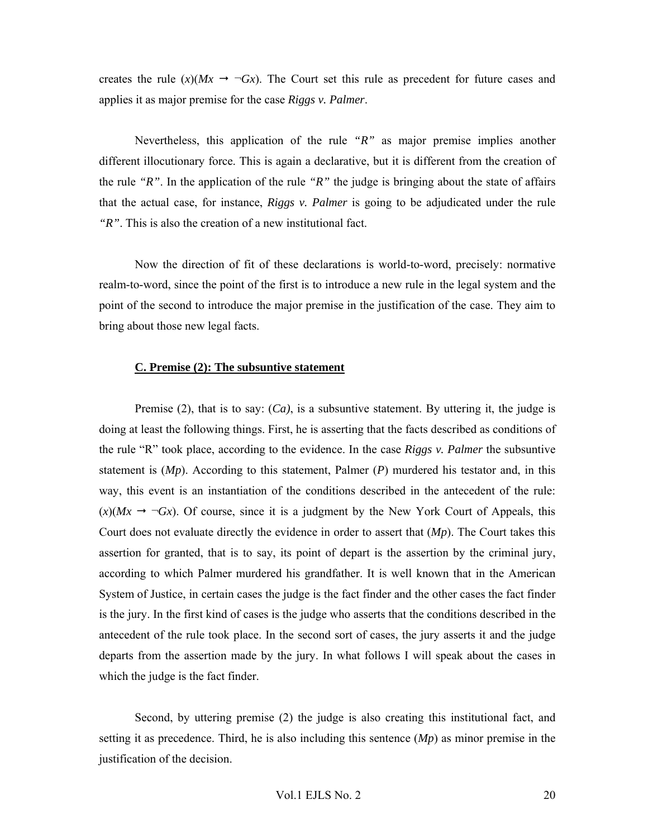creates the rule  $(x)(Mx \rightarrow \neg Gx)$ . The Court set this rule as precedent for future cases and applies it as major premise for the case *Riggs v. Palmer*.

Nevertheless, this application of the rule *"R"* as major premise implies another different illocutionary force. This is again a declarative, but it is different from the creation of the rule *"R"*. In the application of the rule *"R"* the judge is bringing about the state of affairs that the actual case, for instance, *Riggs v. Palmer* is going to be adjudicated under the rule *"R"*. This is also the creation of a new institutional fact.

Now the direction of fit of these declarations is world-to-word, precisely: normative realm-to-word, since the point of the first is to introduce a new rule in the legal system and the point of the second to introduce the major premise in the justification of the case. They aim to bring about those new legal facts.

#### **C. Premise (2): The subsuntive statement**

Premise (2), that is to say:  $(Ca)$ , is a subsuntive statement. By uttering it, the judge is doing at least the following things. First, he is asserting that the facts described as conditions of the rule "R" took place, according to the evidence. In the case *Riggs v. Palmer* the subsuntive statement is (*Mp*). According to this statement, Palmer (*P*) murdered his testator and, in this way, this event is an instantiation of the conditions described in the antecedent of the rule:  $(x)(Mx \rightarrow \neg Gx)$ . Of course, since it is a judgment by the New York Court of Appeals, this Court does not evaluate directly the evidence in order to assert that (*Mp*). The Court takes this assertion for granted, that is to say, its point of depart is the assertion by the criminal jury, according to which Palmer murdered his grandfather. It is well known that in the American System of Justice, in certain cases the judge is the fact finder and the other cases the fact finder is the jury. In the first kind of cases is the judge who asserts that the conditions described in the antecedent of the rule took place. In the second sort of cases, the jury asserts it and the judge departs from the assertion made by the jury. In what follows I will speak about the cases in which the judge is the fact finder.

Second, by uttering premise (2) the judge is also creating this institutional fact, and setting it as precedence. Third, he is also including this sentence (*Mp*) as minor premise in the justification of the decision.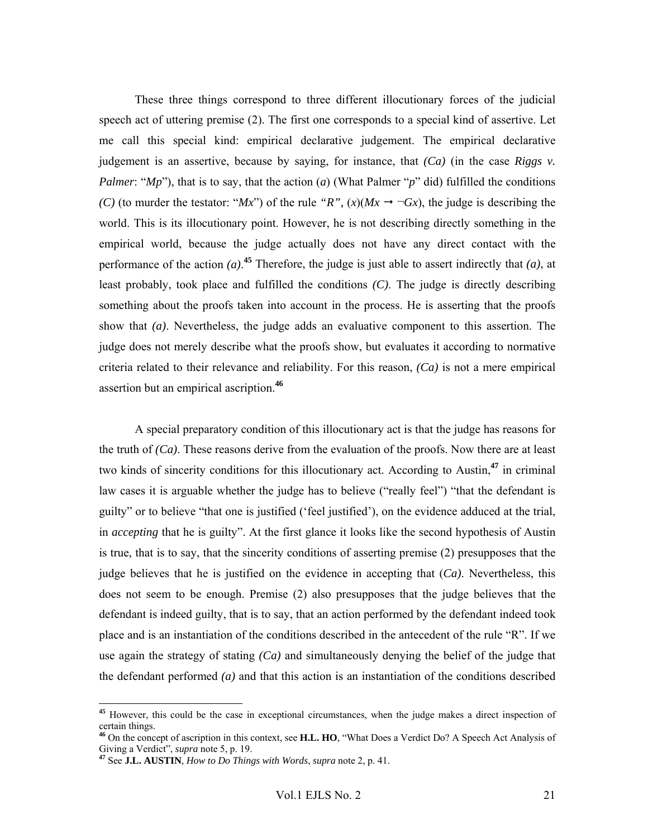These three things correspond to three different illocutionary forces of the judicial speech act of uttering premise (2). The first one corresponds to a special kind of assertive. Let me call this special kind: empirical declarative judgement. The empirical declarative judgement is an assertive, because by saying, for instance, that *(Ca)* (in the case *Riggs v. Palmer*: " $Mp$ "), that is to say, that the action (*a*) (What Palmer "*p*" did) fulfilled the conditions *(C)* (to murder the testator: "*Mx*") of the rule "*R*",  $(x)(Mx \rightarrow \neg Gx)$ , the judge is describing the world. This is its illocutionary point. However, he is not describing directly something in the empirical world, because the judge actually does not have any direct contact with the performance of the action  $(a)$ .<sup>45</sup> Therefore, the judge is just able to assert indirectly that  $(a)$ , at least probably, took place and fulfilled the conditions *(C)*. The judge is directly describing something about the proofs taken into account in the process. He is asserting that the proofs show that *(a)*. Nevertheless, the judge adds an evaluative component to this assertion. The judge does not merely describe what the proofs show, but evaluates it according to normative criteria related to their relevance and reliability. For this reason, *(Ca)* is not a mere empirical assertion but an empirical ascription.**<sup>46</sup>**

A special preparatory condition of this illocutionary act is that the judge has reasons for the truth of *(Ca)*. These reasons derive from the evaluation of the proofs. Now there are at least two kinds of sincerity conditions for this illocutionary act. According to Austin,**<sup>47</sup>** in criminal law cases it is arguable whether the judge has to believe ("really feel") "that the defendant is guilty" or to believe "that one is justified ('feel justified'), on the evidence adduced at the trial, in *accepting* that he is guilty". At the first glance it looks like the second hypothesis of Austin is true, that is to say, that the sincerity conditions of asserting premise (2) presupposes that the judge believes that he is justified on the evidence in accepting that (*Ca)*. Nevertheless, this does not seem to be enough. Premise (2) also presupposes that the judge believes that the defendant is indeed guilty, that is to say, that an action performed by the defendant indeed took place and is an instantiation of the conditions described in the antecedent of the rule "R". If we use again the strategy of stating *(Ca)* and simultaneously denying the belief of the judge that the defendant performed *(a)* and that this action is an instantiation of the conditions described

**<sup>45</sup>** However, this could be the case in exceptional circumstances, when the judge makes a direct inspection of certain things.

**<sup>46</sup>** On the concept of ascription in this context, see **H.L. HO**, "What Does a Verdict Do? A Speech Act Analysis of Giving a Verdict", *supra* note 5, p. 19. **<sup>47</sup>** See **J.L. AUSTIN**, *How to Do Things with Words*, *supra* note 2, p. 41.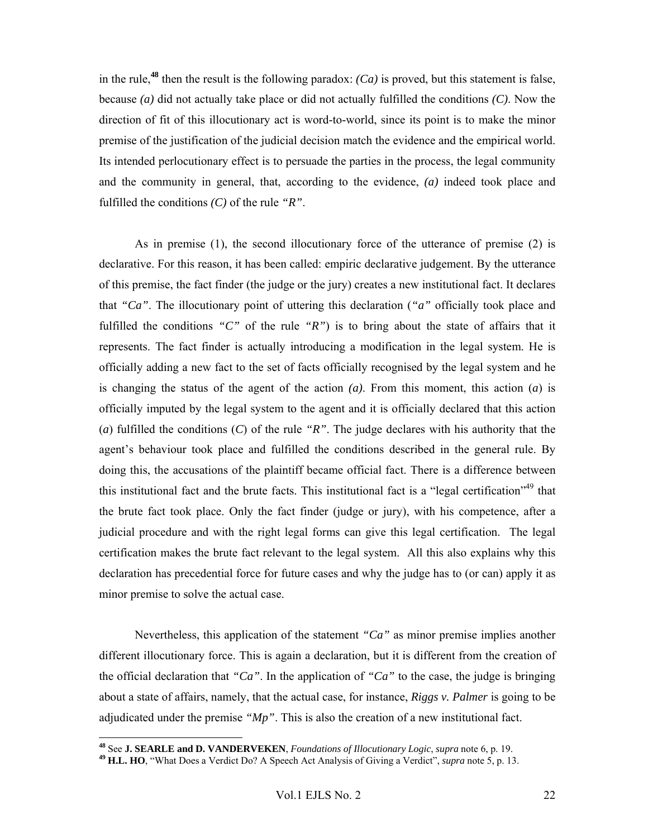in the rule,<sup>48</sup> then the result is the following paradox:  $(Ca)$  is proved, but this statement is false, because *(a)* did not actually take place or did not actually fulfilled the conditions *(C)*. Now the direction of fit of this illocutionary act is word-to-world, since its point is to make the minor premise of the justification of the judicial decision match the evidence and the empirical world. Its intended perlocutionary effect is to persuade the parties in the process, the legal community and the community in general, that, according to the evidence, *(a)* indeed took place and fulfilled the conditions *(C)* of the rule *"R"*.

As in premise (1), the second illocutionary force of the utterance of premise (2) is declarative. For this reason, it has been called: empiric declarative judgement. By the utterance of this premise, the fact finder (the judge or the jury) creates a new institutional fact. It declares that *"Ca"*. The illocutionary point of uttering this declaration (*"a"* officially took place and fulfilled the conditions *"C"* of the rule *"R"*) is to bring about the state of affairs that it represents. The fact finder is actually introducing a modification in the legal system. He is officially adding a new fact to the set of facts officially recognised by the legal system and he is changing the status of the agent of the action *(a)*. From this moment, this action (*a*) is officially imputed by the legal system to the agent and it is officially declared that this action (*a*) fulfilled the conditions (*C*) of the rule *"R"*. The judge declares with his authority that the agent's behaviour took place and fulfilled the conditions described in the general rule. By doing this, the accusations of the plaintiff became official fact. There is a difference between this institutional fact and the brute facts. This institutional fact is a "legal certification"<sup>49</sup> that the brute fact took place. Only the fact finder (judge or jury), with his competence, after a judicial procedure and with the right legal forms can give this legal certification. The legal certification makes the brute fact relevant to the legal system. All this also explains why this declaration has precedential force for future cases and why the judge has to (or can) apply it as minor premise to solve the actual case.

Nevertheless, this application of the statement *"Ca"* as minor premise implies another different illocutionary force. This is again a declaration, but it is different from the creation of the official declaration that *"Ca"*. In the application of *"Ca"* to the case, the judge is bringing about a state of affairs, namely, that the actual case, for instance, *Riggs v. Palmer* is going to be adjudicated under the premise *"Mp"*. This is also the creation of a new institutional fact.

<sup>&</sup>lt;sup>48</sup> See **J. SEARLE and D. VANDERVEKEN**, Foundations of Illocutionary Logic, supra note 6, p. 19.

<sup>&</sup>lt;sup>49</sup> H.L. HO, "What Does a Verdict Do? A Speech Act Analysis of Giving a Verdict", *supra* note  $\overline{5}$ , p. 13.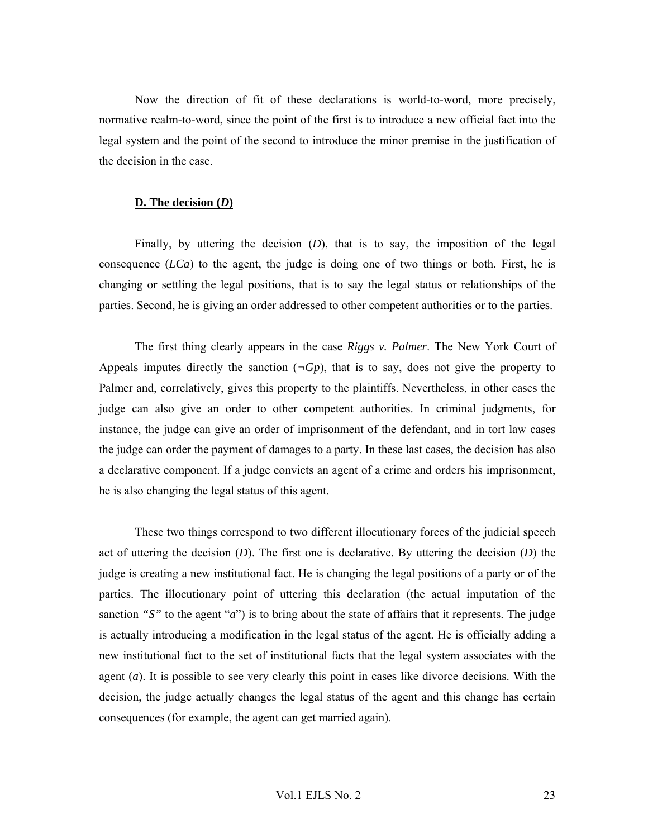Now the direction of fit of these declarations is world-to-word, more precisely, normative realm-to-word, since the point of the first is to introduce a new official fact into the legal system and the point of the second to introduce the minor premise in the justification of the decision in the case.

#### **D. The decision (***D***)**

Finally, by uttering the decision (*D*), that is to say, the imposition of the legal consequence (*LCa*) to the agent, the judge is doing one of two things or both. First, he is changing or settling the legal positions, that is to say the legal status or relationships of the parties. Second, he is giving an order addressed to other competent authorities or to the parties.

The first thing clearly appears in the case *Riggs v. Palmer*. The New York Court of Appeals imputes directly the sanction  $(\neg Gp)$ , that is to say, does not give the property to Palmer and, correlatively, gives this property to the plaintiffs. Nevertheless, in other cases the judge can also give an order to other competent authorities. In criminal judgments, for instance, the judge can give an order of imprisonment of the defendant, and in tort law cases the judge can order the payment of damages to a party. In these last cases, the decision has also a declarative component. If a judge convicts an agent of a crime and orders his imprisonment, he is also changing the legal status of this agent.

These two things correspond to two different illocutionary forces of the judicial speech act of uttering the decision (*D*). The first one is declarative. By uttering the decision (*D*) the judge is creating a new institutional fact. He is changing the legal positions of a party or of the parties. The illocutionary point of uttering this declaration (the actual imputation of the sanction *"S"* to the agent "*a*") is to bring about the state of affairs that it represents. The judge is actually introducing a modification in the legal status of the agent. He is officially adding a new institutional fact to the set of institutional facts that the legal system associates with the agent (*a*). It is possible to see very clearly this point in cases like divorce decisions. With the decision, the judge actually changes the legal status of the agent and this change has certain consequences (for example, the agent can get married again).